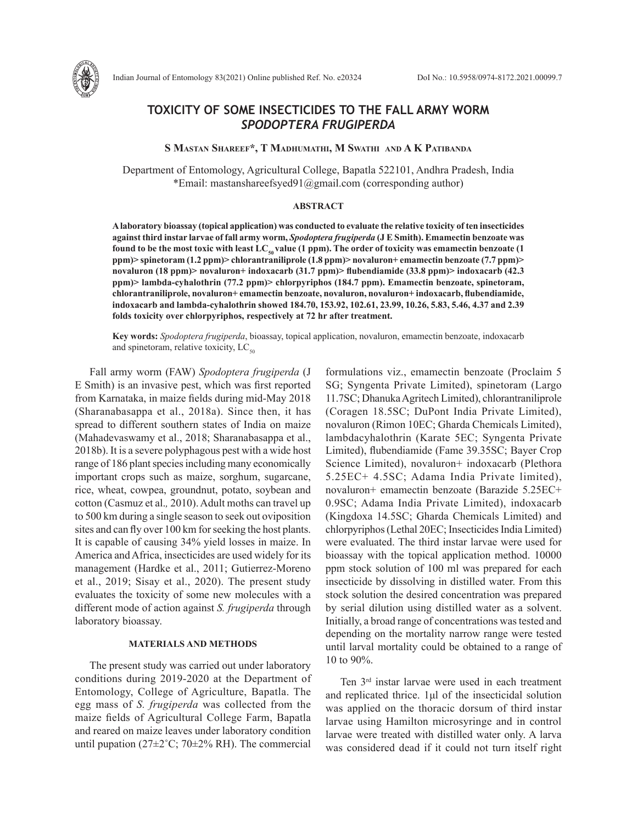

# **TOXICITY OF SOME INSECTICIDES TO THE FALL ARMY WORM**  *SPODOPTERA FRUGIPERDA*

**S Mastan Shareef\*, T Madhumathi, M Swathi and A K Patibanda**

Department of Entomology, Agricultural College, Bapatla 522101, Andhra Pradesh, India \*Email: mastanshareefsyed91@gmail.com (corresponding author)

### **ABSTRACT**

**A laboratory bioassay (topical application) was conducted to evaluate the relative toxicity of ten insecticides against third instar larvae of fall army worm,** *Spodoptera frugiperda* **(J E Smith). Emamectin benzoate was**  found to be the most toxic with least LC<sub>s0</sub> value (1 ppm). The order of toxicity was emamectin benzoate (1 **ppm)> spinetoram (1.2 ppm)> chlorantraniliprole (1.8 ppm)> novaluron+ emamectin benzoate (7.7 ppm)> novaluron (18 ppm)> novaluron+ indoxacarb (31.7 ppm)> flubendiamide (33.8 ppm)> indoxacarb (42.3 ppm)> lambda-cyhalothrin (77.2 ppm)> chlorpyriphos (184.7 ppm). Emamectin benzoate, spinetoram, chlorantraniliprole, novaluron+ emamectin benzoate, novaluron, novaluron+ indoxacarb, flubendiamide, indoxacarb and lambda-cyhalothrin showed 184.70, 153.92, 102.61, 23.99, 10.26, 5.83, 5.46, 4.37 and 2.39 folds toxicity over chlorpyriphos, respectively at 72 hr after treatment.** 

**Key words:** *Spodoptera frugiperda*, bioassay, topical application, novaluron, emamectin benzoate, indoxacarb and spinetoram, relative toxicity,  $LC_{50}$ 

Fall army worm (FAW) *Spodoptera frugiperda* (J E Smith) is an invasive pest, which was first reported from Karnataka, in maize fields during mid-May 2018 (Sharanabasappa et al., 2018a). Since then, it has spread to different southern states of India on maize (Mahadevaswamy et al., 2018; Sharanabasappa et al., 2018b). It is a severe polyphagous pest with a wide host range of 186 plant species including many economically important crops such as maize, sorghum, sugarcane, rice, wheat, cowpea, groundnut, potato, soybean and cotton (Casmuz et al.*,* 2010). Adult moths can travel up to 500 km during a single season to seek out oviposition sites and can fly over 100 km for seeking the host plants. It is capable of causing 34% yield losses in maize. In America and Africa, insecticides are used widely for its management (Hardke et al., 2011; Gutierrez-Moreno et al., 2019; Sisay et al., 2020). The present study evaluates the toxicity of some new molecules with a different mode of action against *S. frugiperda* through laboratory bioassay.

#### **MATERIALS AND METHODS**

The present study was carried out under laboratory conditions during 2019-2020 at the Department of Entomology, College of Agriculture, Bapatla. The egg mass of *S. frugiperda* was collected from the maize fields of Agricultural College Farm, Bapatla and reared on maize leaves under laboratory condition until pupation ( $27\pm2\degree$ C;  $70\pm2\%$  RH). The commercial

formulations viz., emamectin benzoate (Proclaim 5 SG; Syngenta Private Limited), spinetoram (Largo 11.7SC; Dhanuka Agritech Limited), chlorantraniliprole (Coragen 18.5SC; DuPont India Private Limited), novaluron (Rimon 10EC; Gharda Chemicals Limited), lambdacyhalothrin (Karate 5EC; Syngenta Private Limited), flubendiamide (Fame 39.35SC; Bayer Crop Science Limited), novaluron+ indoxacarb (Plethora 5.25EC+ 4.5SC; Adama India Private limited), novaluron+ emamectin benzoate (Barazide 5.25EC+ 0.9SC; Adama India Private Limited), indoxacarb (Kingdoxa 14.5SC; Gharda Chemicals Limited) and chlorpyriphos (Lethal 20EC; Insecticides India Limited) were evaluated. The third instar larvae were used for bioassay with the topical application method. 10000 ppm stock solution of 100 ml was prepared for each insecticide by dissolving in distilled water. From this stock solution the desired concentration was prepared by serial dilution using distilled water as a solvent. Initially, a broad range of concentrations was tested and depending on the mortality narrow range were tested until larval mortality could be obtained to a range of 10 to 90%.

Ten 3rd instar larvae were used in each treatment and replicated thrice. 1μl of the insecticidal solution was applied on the thoracic dorsum of third instar larvae using Hamilton microsyringe and in control larvae were treated with distilled water only. A larva was considered dead if it could not turn itself right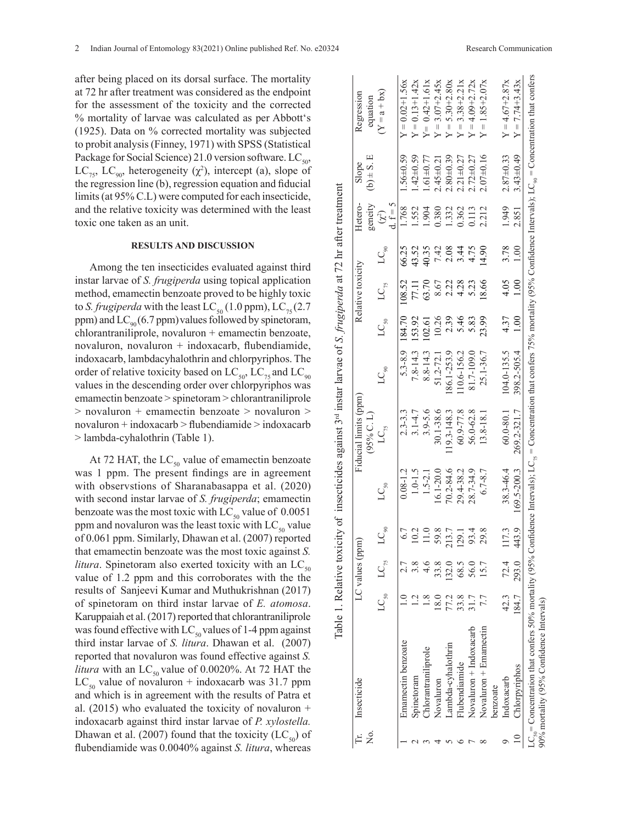after being placed on its dorsal surface. The mortality at 72 hr after treatment was considered as the endpoint for the assessment of the toxicity and the corrected % mortality of larvae was calculated as per Abbott's (1925). Data on % corrected mortality was subjected to probit analysis (Finney, 1971) with SPSS (Statistical Package for Social Science) 21.0 version software. LC<sub>50</sub>, LC<sub>75</sub>, LC<sub>90</sub>, heterogeneity ( $\chi^2$ ), intercept (a), slope of the regression line (b), regression equation and fiducial limits (at 95% C.L) were computed for each insecticide, and the relative toxicity was determined with the least toxic one taken as an unit.

### **RESULTS AND DISCUSSION**

Among the ten insecticides evaluated against third instar larvae of *S. frugiperda* using topical application method, emamectin benzoate proved to be highly toxic to *S. frugiperda* with the least  $LC_{50}$  (1.0 ppm),  $LC_{75}$  (2.7) ppm) and  $LC_{90} (6.7$  ppm) values followed by spinetoram, chlorantraniliprole, novaluron + emamectin benzoate, novaluron, novaluron + indoxacarb, flubendiamide, indoxacarb, lambdacyhalothrin and chlorpyriphos. The order of relative toxicity based on  $LC_{50}$ ,  $LC_{75}$  and  $LC_{90}$ values in the descending order over chlorpyriphos was emamectin benzoate > spinetoram > chlorantraniliprole > novaluron + emamectin benzoate > novaluron > novaluron + indoxacarb > flubendiamide > indoxacarb > lambda-cyhalothrin (Table 1).

At 72 HAT, the  $LC_{50}$  value of emamectin benzoate was 1 ppm. The present findings are in agreement with observstions of Sharanabasappa et al. (2020) with second instar larvae of *S. frugiperda*; emamectin benzoate was the most toxic with  $LC_{50}$  value of 0.0051 ppm and novaluron was the least toxic with  $LC_{50}$  value of 0.061 ppm. Similarly, Dhawan et al. (2007) reported that emamectin benzoate was the most toxic against *S. litura*. Spinetoram also exerted toxicity with an  $LC_{50}$ value of 1.2 ppm and this corroborates with the the results of Sanjeevi Kumar and Muthukrishnan (2017) of spinetoram on third instar larvae of *E. atomosa*. Karuppaiah et al. (2017) reported that chlorantraniliprole was found effective with  $LC_{50}$  values of 1-4 ppm against third instar larvae of *S. litura*. Dhawan et al. (2007) reported that novaluron was found effective against *S. litura* with an LC<sub>50</sub> value of 0.0020%. At 72 HAT the  $LC_{50}$  value of novaluron + indoxacarb was 31.7 ppm and which is in agreement with the results of Patra et al. (2015) who evaluated the toxicity of novaluron + indoxacarb against third instar larvae of *P. xylostella.*  Dhawan et al. (2007) found that the toxicity  $(LC_{50})$  of flubendiamide was 0.0040% against *S. litura*, whereas

 $Y = 0.02 + 1.56x$  Emamectin benzoate 1.0 2.7 6.7 0.08-1.2 2.3-3.3 5.3-8.9 184.70 108.52 66.25 1.768 1.56±0.59 Y = 0.02+1.56x  $Y = 0.13 + 1.42x$ 2 Spinetoram 1.42x 1.43.52 1.0.5 3.8 1.0.2 1.0-1.5 3.1-4.7 7.8-14.3 1.552 1.552 1.552 1.552 1.552 1.424±0.13+1.42x  $= 0.42 + 1.61x$ KIS 1.42+0.0 1.9 1.9 1.0 1.0 1.0 1.0 1.0 1.0 1.0 1.0 1.42-2.1 3.8 1.42+0.0 1.0 1.0 1.0 1.0 1.0 1.0 1.0 1.0 1.0<br>Superiormal contract and the contract of the contract of the contract of the contract of the contract of the c  $= 3.07 + 2.45x$ 4 Novaluron 18.0 33.8 59.8 16.1-20.0 30.1-38.6 51.2-72.1 10.26 8.67 7.42 0.380 2.45±0.21 Y = 3.07+2.45x Lambda-cyhalothrin 77.2 132.0 213.7 70.2-84.6 119.3-148.3 186.1-253.9 2.39 2.22 2.08 1.332 2.80±0.39 Y = 5.30+2.80x Flubendiamide 33.8 68.5 129.1 29.4-38.2 60.9-77.8 110.6-156.2 5.46 4.28 3.44 0.362 2.21±0.27 Y = 3.38+2.21x Novaluron + Indoxacarb 31.7 56.0 93.4 28.7-34.9 56.0-62.8 81.7-109.0 5.83 5.23 4.75 0.113 2.72±0.27 Y = 4.09+2.72x 7.7 15.7 29.8 6.7-8.7 13.8-18.1 25.1-36.7 23.99 18.66 14.90 2.212 2.07±0.16 Y = 1.85+2.07x  $Y = 4.67 + 2.87x$  Indoxacarb 42.3 72.4 117.3 38.3-46.4 60.0-80.1 104.0-135.5 4.37 4.05 3.78 1.949 2.87±0.33 Y = 4.67+2.87x  $Y = 7.74 + 3.43x$ 10 Chlorpyriphos 184.7 293.0 443.9 169.5-200.3 269.2-321.7 398.2-505.4 1.00 1.00 1.00 2.851 3.43±0.49 Y = 7.74+3.43x  $7 = 5.30 + 2.80x$  $7 = 3.38 + 2.21x$  $= 4.09 + 2.72x$  $Y = 1.85 + 2.07x$ Regression Regression  $Y = a + bx$  $(Y = a + bx)$ equation  $(b) \pm S$ . E  $2.80 + 0.39$  $2.87 + 0.33$  $3.43 \pm 0.49$  $56 + 0.59$  $.42 + 0.59$  $1.61 \pm 0.77$  $2.45 \pm 0.21$  $2.21 + 0.27$  $2.72 \pm 0.27$  $2.07\pm0.16$ Slope geneity  $1 f = 5$ Hetero-Relative toxicity Hetero-1.949 .904 0.380 .332 0.362 0.113  $2.212$ 2.851 .552  $\mathbb{R}^2$  $LC_{90}$  $3.78$ <br>1.00 43.52 40.35 7.42 2.08 3.44 4.75<br>14.90  $\mathop{\rm LC}\nolimits_{S0}^s$   $\mathop{\rm LC}\nolimits_{S0}^s$   $\mathop{\rm LC}\nolimits_{T,S}^s$   $\mathop{\rm LC}\nolimits_{S0}^s$   $\mathop{\rm LC}\nolimits_{S1}^s$   $\mathop{\rm LC}\nolimits_{T,S}^s$ Relative toxicity  $\frac{4.05}{1.00}$ 77.11<br>63.70 8.67 2.22 4.28 5.23  $LC_{75}$  $1.00$  $\mathbb{L}\mathsf{C}_{50}$ 4.37 153.92 102.61  $10.26$ 5.83 23.99 8.8-14.3 104.0-135.5  $5.3 - 8.9$  $7.8 - 14.3$ 51.2-72.1 86.1-253.9 10.6-156.2 81.7-109.0 25.1-36.7 398.2-505.4  $LC_{90}$ Insecticide LC values (ppm) Fiducial limits (ppm) Fiducial limits (ppm)  $3.1 - 4.7$  $3.9 - 5.6$ 30.1-38.6 56.0-62.8 60.0-80.1 269.2-321.7 60.9-77.8 (95% C. L) 19.3-148.3 2.3-3.3  $3.8 - 18.1$  $LC_{75}$  $1.0 - 1.5$  $6.1 - 20.0$ 70.2-84.6 28.7-34.9  $6.7 - 8.7$ 38.3-46.4  $1.5 - 2.1$ 169.5-200.3 29.4-38.2  $0.08 - 1.2$  $LC_{50}$  $LC_{90}$ 443.9 29.8 117.3  $[29]$ 93.4 59.8  $13.7$ LC values (ppm)  $\text{LC}_{75}$ 293.0 56.0  $72.4$  $.32.0$ 68.5 5.7  $33.8$  $LC_{50}$ 42.3<br>184.7 33.8 31.7

Table 1. Relative toxicity of insecticides against 3rd instar larvae of *S. frugiperda* at 72 hr after treatment

Table 1. Relative toxicity of insecticides against 3<sup>rd</sup> instar larvae of S. frugiperda at 72 hr after treatment

Tr. No.

Insecticide

 $\overline{\phantom{0}}$ 

imamectin benzoate

 $\scriptstyle\sim$ 

Spinetoram

 $\sim$ 

Chlorantraniliprole

Novaluron

4 N

Lambda-cyhalothrin

 $\circ$ 

Flubendiamide

 $\sim \infty$ 

 $\circ$ 

Indoxacarb

penzoate

 Novaluron + Emamectin benzoate

Novaluron + Indoxacarb Novaluron + Emamectin